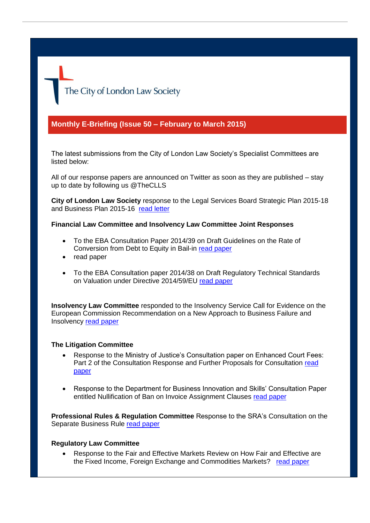The City of London Law Society

## **Monthly E-Briefing (Issue 50 – February to March 2015)**

The latest submissions from the City of London Law Society's Specialist Committees are listed below:

All of our response papers are announced on Twitter as soon as they are published – stay up to date by following us @TheCLLS

**City of London Law Society** response to the Legal Services Board Strategic Plan 2015-18 and Business Plan 2015-16 [read letter](http://www.citysolicitors.org.uk/attachments/article/108/Response%20to%20LSB%20Draft%20Strategic%20Plan%202015-18%20and%20Business%20Plan%20201516.pdf)

**Financial Law Committee and Insolvency Law Committee Joint Responses**

- To the EBA Consultation Paper 2014/39 on Draft Guidelines on the Rate of Conversion from Debt to Equity in Bail-in [read paper](http://www.citysolicitors.org.uk/attachments/article/121/EBA_CP_2014_39.pdf)
- read paper
- To the EBA Consultation paper 2014/38 on Draft Regulatory Technical Standards on Valuation under Directive 2014/59/EU [read paper](http://www.citysolicitors.org.uk/attachments/article/121/EBA_CP_2014_38%20(1).pdf)

**Insolvency Law Committee** responded to the Insolvency Service Call for Evidence on the European Commission Recommendation on a New Approach to Business Failure and Insolvency [read paper](http://www.citysolicitors.org.uk/attachments/article/119/Response%20to%20Insol%20Service%20Call%20for%20Evidence%20on%20EC%20new%20approach%20to%20business%20failure.pdf)

## **The Litigation Committee**

- Response to the Ministry of Justice's Consultation paper on Enhanced Court Fees: Part 2 of the Consultation Response and Further Proposals for Consultation [read](http://www.citysolicitors.org.uk/attachments/article/112/CLLS%20response%20to%20MoJ%20consultation%20paper%20on%20enhanced%20court%20fees%2035243-5-130%20v0.1.pdf)  [paper](http://www.citysolicitors.org.uk/attachments/article/112/CLLS%20response%20to%20MoJ%20consultation%20paper%20on%20enhanced%20court%20fees%2035243-5-130%20v0.1.pdf)
- Response to the Department for Business Innovation and Skills' Consultation Paper entitled Nullification of Ban on Invoice Assignment Clauses [read paper](http://www.citysolicitors.org.uk/attachments/article/112/CLLS%20response%20to%20DBIS%20consultation%20paper%20on%20nullifcation%20of%20ban%20on%20invoice%20assignment%20clauses%2035243-5-128%20v0.1.pdf)

**Professional Rules & Regulation Committee** Response to the SRA's Consultation on the Separate Business Rule [read paper](http://www.citysolicitors.org.uk/attachments/article/108/Response%20to%20SRA%20CP%20Separate%20Business%20Rule.pdf)

## **Regulatory Law Committee**

 Response to the Fair and Effective Markets Review on How Fair and Effective are the Fixed Income, Foreign Exchange and Commodities Markets? [read paper](http://www.citysolicitors.org.uk/attachments/article/106/CLLS%20FEMR%20FINAL.PDF)